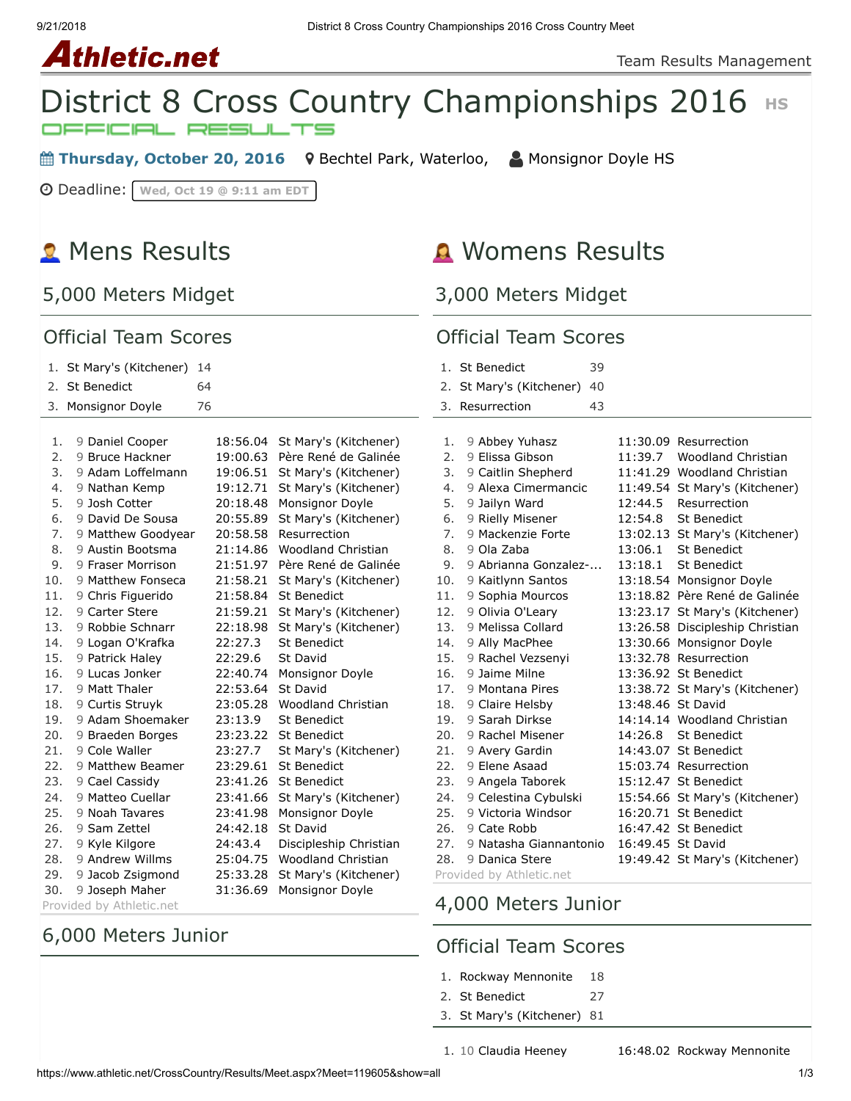# **Athletic.net**



**■ Thursday, October 20, 2016** 9 [Bechtel Park, Waterloo,](https://maps.google.com/maps?saddr=&daddr=Bechtel%20Park,%20185%20Bridge%20St.%20West,%20Waterloo%20N2K%201K8&hl=en) △ [Monsignor Doyle HS](https://www.athletic.net/CrossCountry/School.aspx?SchoolID=27459)

Deadline: **Wed, Oct 19 @ 9:11 am EDT**

# **R** Mens Results

5,000 Meters Midget

### Official Team C

# **A** Womens Results

3,000 Meters Midget

| <b>Official Team Scores</b> |                          |          | <b>Official Team Scores</b>    |                |                                      |    |                   |                                 |
|-----------------------------|--------------------------|----------|--------------------------------|----------------|--------------------------------------|----|-------------------|---------------------------------|
| 1. St Mary's (Kitchener) 14 |                          |          |                                | 1. St Benedict | 39                                   |    |                   |                                 |
|                             | 2. St Benedict<br>64     |          |                                |                | 2. St Mary's (Kitchener) 40          |    |                   |                                 |
|                             | 3. Monsignor Doyle<br>76 |          |                                |                | 3. Resurrection                      | 43 |                   |                                 |
| 1.                          | 9 Daniel Cooper          |          | 18:56.04 St Mary's (Kitchener) | 1.             | 9 Abbey Yuhasz                       |    |                   | 11:30.09 Resurrection           |
| 2.                          | 9 Bruce Hackner          |          | 19:00.63 Père René de Galinée  | 2.             | 9 Elissa Gibson                      |    | 11:39.7           | Woodland Christian              |
| 3.                          | 9 Adam Loffelmann        |          | 19:06.51 St Mary's (Kitchener) | 3.             | 9 Caitlin Shepherd                   |    |                   | 11:41.29 Woodland Christian     |
| 4.                          | 9 Nathan Kemp            |          | 19:12.71 St Mary's (Kitchener) | 4.             | 9 Alexa Cimermancic                  |    |                   | 11:49.54 St Mary's (Kitchener)  |
| 5.                          | 9 Josh Cotter            |          | 20:18.48 Monsignor Doyle       | 5.             | 9 Jailyn Ward                        |    | 12:44.5           | Resurrection                    |
| 6.                          | 9 David De Sousa         |          | 20:55.89 St Mary's (Kitchener) | 6.             | 9 Rielly Misener                     |    | 12:54.8           | St Benedict                     |
| 7.                          | 9 Matthew Goodyear       |          | 20:58.58 Resurrection          | 7.             | 9 Mackenzie Forte                    |    |                   | 13:02.13 St Mary's (Kitchener)  |
| 8.                          | 9 Austin Bootsma         | 21:14.86 | <b>Woodland Christian</b>      | 8.             | 9 Ola Zaba                           |    | 13:06.1           | St Benedict                     |
| 9.                          | 9 Fraser Morrison        |          | 21:51.97 Père René de Galinée  | 9.             | 9 Abrianna Gonzalez-                 |    | 13:18.1           | <b>St Benedict</b>              |
| 10.                         | 9 Matthew Fonseca        |          | 21:58.21 St Mary's (Kitchener) | 10.            | 9 Kaitlynn Santos                    |    |                   | 13:18.54 Monsignor Doyle        |
| 11.                         | 9 Chris Figuerido        |          | 21:58.84 St Benedict           | 11.            | 9 Sophia Mourcos                     |    |                   | 13:18.82 Père René de Galinée   |
| 12.                         | 9 Carter Stere           |          | 21:59.21 St Mary's (Kitchener) | 12.            | 9 Olivia O'Leary                     |    |                   | 13:23.17 St Mary's (Kitchener)  |
| 13.                         | 9 Robbie Schnarr         |          | 22:18.98 St Mary's (Kitchener) | 13.            | 9 Melissa Collard                    |    |                   | 13:26.58 Discipleship Christian |
| 14.                         | 9 Logan O'Krafka         | 22:27.3  | St Benedict                    | 14.            | 9 Ally MacPhee                       |    |                   | 13:30.66 Monsignor Doyle        |
| 15.                         | 9 Patrick Haley          | 22:29.6  | St David                       | 15.            | 9 Rachel Vezsenyi                    |    |                   | 13:32.78 Resurrection           |
| 16.                         | 9 Lucas Jonker           | 22:40.74 | Monsignor Doyle                | 16.            | 9 Jaime Milne                        |    |                   | 13:36.92 St Benedict            |
| 17.                         | 9 Matt Thaler            | 22:53.64 | St David                       | 17.            | 9 Montana Pires                      |    |                   | 13:38.72 St Mary's (Kitchener)  |
| 18.                         | 9 Curtis Struyk          | 23:05.28 | Woodland Christian             | 18.            | 9 Claire Helsby                      |    | 13:48.46 St David |                                 |
| 19.                         | 9 Adam Shoemaker         | 23:13.9  | St Benedict                    | 19.            | 9 Sarah Dirkse                       |    |                   | 14:14.14 Woodland Christian     |
| 20.                         | 9 Braeden Borges         |          | 23:23.22 St Benedict           | 20.            | 9 Rachel Misener                     |    |                   | 14:26.8 St Benedict             |
| 21.                         | 9 Cole Waller            | 23:27.7  | St Mary's (Kitchener)          | 21.            | 9 Avery Gardin                       |    |                   | 14:43.07 St Benedict            |
| 22.                         | 9 Matthew Beamer         |          | 23:29.61 St Benedict           | 22.            | 9 Elene Asaad                        |    |                   | 15:03.74 Resurrection           |
| 23.                         | 9 Cael Cassidy           |          | 23:41.26 St Benedict           | 23.            | 9 Angela Taborek                     |    |                   | 15:12.47 St Benedict            |
| 24.                         | 9 Matteo Cuellar         |          | 23:41.66 St Mary's (Kitchener) | 24.            | 9 Celestina Cybulski                 |    |                   | 15:54.66 St Mary's (Kitchener)  |
| 25.                         | 9 Noah Tavares           | 23:41.98 | Monsignor Doyle                | 25.            | 9 Victoria Windsor                   |    |                   | 16:20.71 St Benedict            |
| 26.                         | 9 Sam Zettel             | 24:42.18 | St David                       | 26.            | 9 Cate Robb                          |    |                   | 16:47.42 St Benedict            |
| 27.                         | 9 Kyle Kilgore           | 24:43.4  | Discipleship Christian         | 27.            | 9 Natasha Giannantonio               |    | 16:49.45 St David |                                 |
| 28.                         | 9 Andrew Willms          | 25:04.75 | <b>Woodland Christian</b>      | 28.            | 9 Danica Stere                       |    |                   | 19:49.42 St Mary's (Kitchener)  |
| 29.                         | 9 Jacob Zsigmond         | 25:33.28 | St Mary's (Kitchener)          |                | Provided by Athletic.net             |    |                   |                                 |
| 30.                         | 9 Joseph Maher           |          | 31:36.69 Monsignor Doyle       |                | $A$ $000$ $M_{\odot}$ $\ddot{=}$ $1$ |    |                   |                                 |

Provided by Athletic.net

## 6,000 Meters Junior

4,000 Meters Junior

#### Official Team Scores

- 1. [Rockway Mennonite](https://www.athletic.net/CrossCountry/School.aspx?SchoolID=27431) 18
- 2. [St Benedict](https://www.athletic.net/CrossCountry/School.aspx?SchoolID=27484) 27
- 3. [St Mary's \(Kitchener\)](https://www.athletic.net/CrossCountry/School.aspx?SchoolID=27485) 81

1. 10 [Claudia Heeney](https://www.athletic.net/CrossCountry/Athlete.aspx?AID=8797503#tTNaN) [16:48.02](https://www.athletic.net/result/ZlF3lB8U8l0nN) [Rockway Mennonite](https://www.athletic.net/CrossCountry/School.aspx?SchoolID=27431)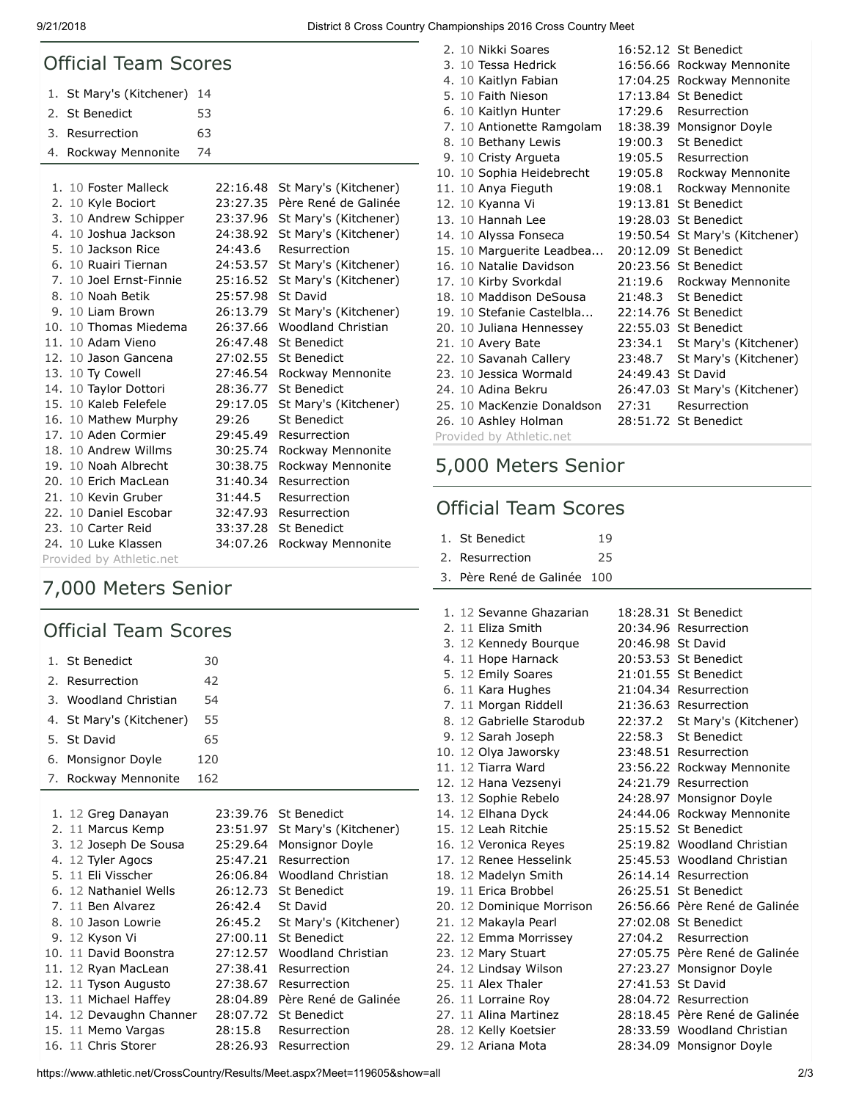9/21/2018 District 8 Cross Country Championships 2016 Cross Country Meet

| <b>Official Team Scores</b> |                          |    |          |                           |  |  |
|-----------------------------|--------------------------|----|----------|---------------------------|--|--|
|                             | 1. St Mary's (Kitchener) | 14 |          |                           |  |  |
| 2.                          | St Benedict              | 53 |          |                           |  |  |
| 3.                          | Resurrection             | 63 |          |                           |  |  |
| 4.                          | Rockway Mennonite        | 74 |          |                           |  |  |
|                             |                          |    |          |                           |  |  |
|                             | 1. 10 Foster Malleck     |    | 22:16.48 | St Mary's (Kitchener)     |  |  |
|                             | 2. 10 Kyle Bociort       |    | 23:27.35 | Père René de Galinée      |  |  |
|                             | 3. 10 Andrew Schipper    |    | 23:37.96 | St Mary's (Kitchener)     |  |  |
|                             | 4. 10 Joshua Jackson     |    | 24:38.92 | St Mary's (Kitchener)     |  |  |
|                             | 5. 10 Jackson Rice       |    | 24:43.6  | Resurrection              |  |  |
|                             | 6. 10 Ruairi Tiernan     |    | 24:53.57 | St Mary's (Kitchener)     |  |  |
|                             | 7. 10 Joel Ernst-Finnie  |    | 25:16.52 | St Mary's (Kitchener)     |  |  |
|                             | 8. 10 Noah Betik         |    | 25:57.98 | St David                  |  |  |
|                             | 9. 10 Liam Brown         |    | 26:13.79 | St Mary's (Kitchener)     |  |  |
|                             | 10. 10 Thomas Miedema    |    | 26:37.66 | <b>Woodland Christian</b> |  |  |
|                             | 11. 10 Adam Vieno        |    | 26:47.48 | <b>St Benedict</b>        |  |  |
|                             | 12. 10 Jason Gancena     |    | 27:02.55 | <b>St Benedict</b>        |  |  |
|                             | 13. 10 Ty Cowell         |    | 27:46.54 | Rockway Mennonite         |  |  |
|                             | 14. 10 Taylor Dottori    |    | 28:36.77 | St Benedict               |  |  |
|                             | 15. 10 Kaleb Felefele    |    | 29:17.05 | St Mary's (Kitchener)     |  |  |
|                             | 16. 10 Mathew Murphy     |    | 29:26    | <b>St Benedict</b>        |  |  |
|                             | 17. 10 Aden Cormier      |    | 29:45.49 | Resurrection              |  |  |
|                             | 18. 10 Andrew Willms     |    | 30:25.74 | Rockway Mennonite         |  |  |
|                             | 19. 10 Noah Albrecht     |    | 30:38.75 | Rockway Mennonite         |  |  |
|                             | 20. 10 Erich MacLean     |    | 31:40.34 | Resurrection              |  |  |
|                             | 21. 10 Kevin Gruber      |    | 31:44.5  | Resurrection              |  |  |
|                             | 22. 10 Daniel Escobar    |    | 32:47.93 | Resurrection              |  |  |
|                             | 23. 10 Carter Reid       |    | 33:37.28 | St Benedict               |  |  |
|                             | 24. 10 Luke Klassen      |    | 34:07.26 | Rockway Mennonite         |  |  |
| Provided by Athletic.net    |                          |    |          |                           |  |  |

# 7,000 Meters Senior

## Official Team Scores

| 1. St Benedict           | 30       |                       |
|--------------------------|----------|-----------------------|
| 2.<br>Resurrection       | 42       |                       |
| 3. Woodland Christian    | 54       |                       |
| 4. St Mary's (Kitchener) | 55       |                       |
| St David<br>5.           | 65       |                       |
| 6. Monsignor Doyle       | 120      |                       |
| 7. Rockway Mennonite     | 162      |                       |
|                          |          |                       |
| 1. 12 Greg Danayan       | 23:39.76 | St Benedict           |
| 2. 11 Marcus Kemp        | 23:51.97 | St Mary's (Kitchener) |
| 3. 12 Joseph De Sousa    | 25:29.64 | Monsignor Doyle       |
| 4. 12 Tyler Agocs        | 25:47.21 | Resurrection          |
| 5. 11 Fli Visscher       | 26:06.84 | Woodland Christian    |
| 6. 12 Nathaniel Wells    | 26:12.73 | St Benedict           |
| 7. 11 Ben Alvarez        | 26:42.4  | St David              |
| 8. 10 Jason Lowrie       | 26:45.2  | St Mary's (Kitchener) |
| 9. 12 Kyson Vi           | 27:00.11 | St Benedict           |
| 10. 11 David Boonstra    | 27:12.57 | Woodland Christian    |
| 11. 12 Ryan MacLean      | 27:38.41 | Resurrection          |
| 12. 11 Tyson Augusto     | 27:38.67 | Resurrection          |
| 13. 11 Michael Haffey    | 28:04.89 | Père René de Galinée  |
| 14. 12 Devaughn Channer  | 28:07.72 | St Benedict           |
| 15. 11 Memo Vargas       | 28:15.8  | Resurrection          |
| 16. 11 Chris Storer      | 28:26.93 | Resurrection          |

| 2. 10 Nikki Soares         |                   | 16:52.12 St Benedict           |
|----------------------------|-------------------|--------------------------------|
| 3. 10 Tessa Hedrick        |                   | 16:56.66 Rockway Mennonite     |
| 4. 10 Kaitlyn Fabian       |                   | 17:04.25 Rockway Mennonite     |
| 5. 10 Faith Nieson         |                   | 17:13.84 St Benedict           |
| 6. 10 Kaitlyn Hunter       | 17:29.6           | Resurrection                   |
| 7. 10 Antionette Ramgolam  |                   | 18:38.39 Monsignor Doyle       |
| 8. 10 Bethany Lewis        | 19:00.3           | St Benedict                    |
| 9. 10 Cristy Argueta       |                   | 19:05.5 Resurrection           |
| 10. 10 Sophia Heidebrecht  | 19:05.8           | Rockway Mennonite              |
| 11. 10 Anya Fieguth        | 19:08.1           | Rockway Mennonite              |
| 12. 10 Kyanna Vi           |                   | 19:13.81 St Benedict           |
| 13. 10 Hannah Lee          |                   | 19:28.03 St Benedict           |
| 14. 10 Alyssa Fonseca      |                   | 19:50.54 St Mary's (Kitchener) |
| 15. 10 Marguerite Leadbea  |                   | 20:12.09 St Benedict           |
| 16. 10 Natalie Davidson    |                   | 20:23.56 St Benedict           |
| 17. 10 Kirby Svorkdal      | 21:19.6           | Rockway Mennonite              |
| 18. 10 Maddison DeSousa    | 21:48.3           | St Benedict                    |
| 19. 10 Stefanie Castelbla  |                   | 22:14.76 St Benedict           |
| 20. 10 Juliana Hennessey   |                   | 22:55.03 St Benedict           |
| 21. 10 Avery Bate          | 23:34.1           | St Mary's (Kitchener)          |
| 22. 10 Savanah Callery     | 23:48.7           | St Mary's (Kitchener)          |
| 23. 10 Jessica Wormald     | 24:49.43 St David |                                |
| 24. 10 Adina Bekru         |                   | 26:47.03 St Mary's (Kitchener) |
| 25. 10 MacKenzie Donaldson | 27:31             | Resurrection                   |
| 26. 10 Ashley Holman       |                   | 28:51.72 St Benedict           |

Provided by Athletic.net

# 5,000 Meters Senior

## Official Team Scores

| 1. St Benedict  | 19 |  |
|-----------------|----|--|
| 2. Resurrection | 25 |  |

|  | 1. 12 Sevanne Ghazarian   |                   | 18:28.31 St Benedict          |
|--|---------------------------|-------------------|-------------------------------|
|  | 2. 11 Eliza Smith         |                   | 20:34.96 Resurrection         |
|  | 3. 12 Kennedy Bourque     | 20:46.98 St David |                               |
|  | 4. 11 Hope Harnack        |                   | 20:53.53 St Benedict          |
|  | 5. 12 Emily Soares        |                   | 21:01.55 St Benedict          |
|  | 6. 11 Kara Hughes         |                   | 21:04.34 Resurrection         |
|  | 7. 11 Morgan Riddell      |                   | 21:36.63 Resurrection         |
|  | 8. 12 Gabrielle Starodub  |                   | 22:37.2 St Mary's (Kitchener) |
|  | 9. 12 Sarah Joseph        | 22:58.3           | <b>St Benedict</b>            |
|  | 10. 12 Olya Jaworsky      |                   | 23:48.51 Resurrection         |
|  | 11. 12 Tiarra Ward        |                   | 23:56.22 Rockway Mennonite    |
|  | 12. 12 Hana Vezsenyi      |                   | 24:21.79 Resurrection         |
|  | 13. 12 Sophie Rebelo      |                   | 24:28.97 Monsignor Doyle      |
|  | 14. 12 Elhana Dyck        |                   | 24:44.06 Rockway Mennonite    |
|  | 15. 12 Leah Ritchie       |                   | 25:15.52 St Benedict          |
|  | 16. 12 Veronica Reyes     |                   | 25:19.82 Woodland Christian   |
|  | 17. 12 Renee Hesselink    |                   | 25:45.53 Woodland Christian   |
|  | 18. 12 Madelyn Smith      |                   | 26:14.14 Resurrection         |
|  | 19. 11 Erica Brobbel      |                   | 26:25.51 St Benedict          |
|  | 20. 12 Dominique Morrison |                   | 26:56.66 Père René de Galinée |
|  | 21. 12 Makayla Pearl      |                   | 27:02.08 St Benedict          |
|  | 22. 12 Emma Morrissey     | 27:04.2           | Resurrection                  |
|  | 23. 12 Mary Stuart        |                   | 27:05.75 Père René de Galinée |
|  | 24. 12 Lindsay Wilson     |                   | 27:23.27 Monsignor Doyle      |
|  | 25. 11 Alex Thaler        | 27:41.53 St David |                               |
|  | 26. 11 Lorraine Roy       |                   | 28:04.72 Resurrection         |
|  | 27. 11 Alina Martinez     |                   | 28:18.45 Père René de Galinée |
|  | 28. 12 Kelly Koetsier     |                   | 28:33.59 Woodland Christian   |
|  | 29. 12 Ariana Mota        |                   | 28:34.09 Monsignor Doyle      |
|  |                           |                   |                               |

https://www.athletic.net/CrossCountry/Results/Meet.aspx?Meet=119605&show=all 2/3